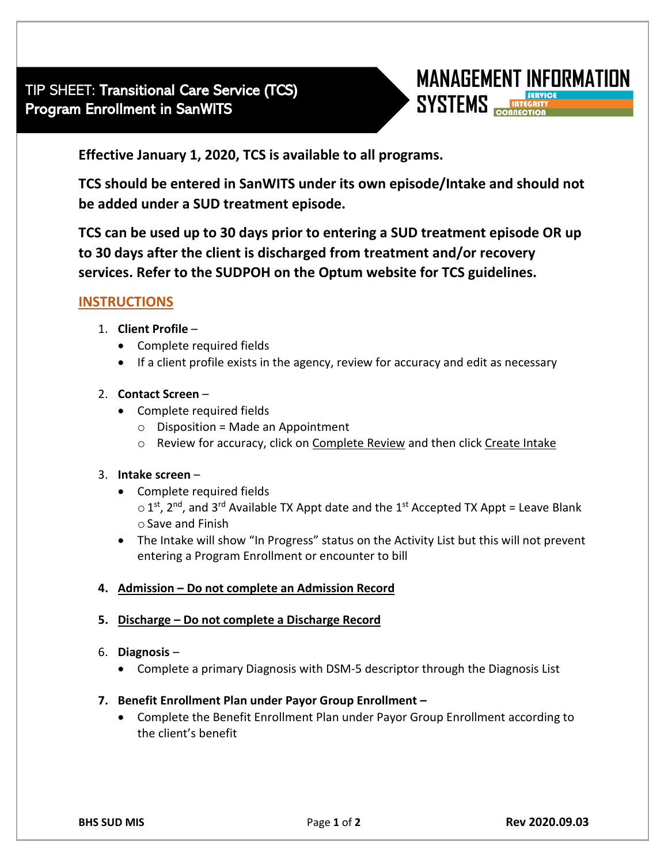

**Effective January 1, 2020, TCS is available to all programs.** 

**TCS should be entered in SanWITS under its own episode/Intake and should not be added under a SUD treatment episode.**

**TCS can be used up to 30 days prior to entering a SUD treatment episode OR up to 30 days after the client is discharged from treatment and/or recovery services. Refer to the SUDPOH on the Optum website for TCS guidelines.** 

# **INSTRUCTIONS**

- 1. **Client Profile**
	- Complete required fields
	- If a client profile exists in the agency, review for accuracy and edit as necessary
- 2. **Contact Screen**
	- Complete required fields
		- $\circ$  Disposition = Made an Appointment
		- o Review for accuracy, click on Complete Review and then click Create Intake

#### 3. **Intake screen** –

- Complete required fields  $\circ$  1<sup>st</sup>, 2<sup>nd</sup>, and 3<sup>rd</sup> Available TX Appt date and the 1<sup>st</sup> Accepted TX Appt = Leave Blank  $\circ$  Save and Finish
- The Intake will show "In Progress" status on the Activity List but this will not prevent entering a Program Enrollment or encounter to bill

## **4. Admission – Do not complete an Admission Record**

#### **5. Discharge – Do not complete a Discharge Record**

- 6. **Diagnosis**
	- Complete a primary Diagnosis with DSM-5 descriptor through the Diagnosis List

#### **7. Benefit Enrollment Plan under Payor Group Enrollment –**

• Complete the Benefit Enrollment Plan under Payor Group Enrollment according to the client's benefit